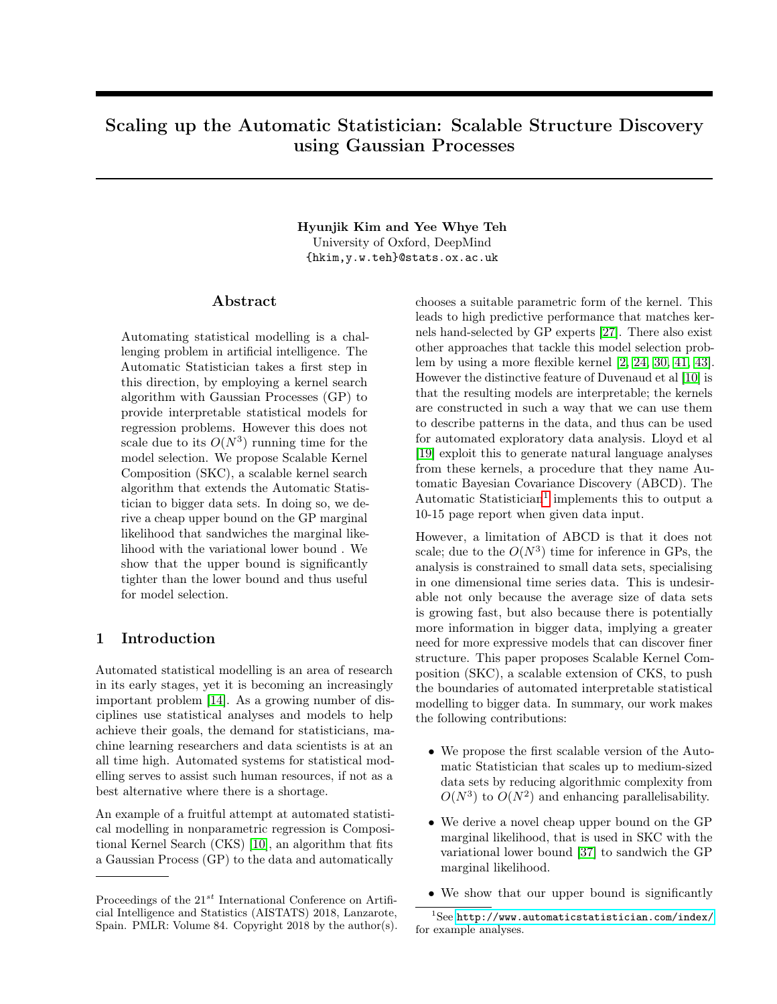# Scaling up the Automatic Statistician: Scalable Structure Discovery using Gaussian Processes

#### Hyunjik Kim and Yee Whye Teh University of Oxford, DeepMind {hkim,y.w.teh}@stats.ox.ac.uk

#### Abstract

Automating statistical modelling is a challenging problem in artificial intelligence. The Automatic Statistician takes a first step in this direction, by employing a kernel search algorithm with Gaussian Processes (GP) to provide interpretable statistical models for regression problems. However this does not scale due to its  $O(N^3)$  running time for the model selection. We propose Scalable Kernel Composition (SKC), a scalable kernel search algorithm that extends the Automatic Statistician to bigger data sets. In doing so, we derive a cheap upper bound on the GP marginal likelihood that sandwiches the marginal likelihood with the variational lower bound . We show that the upper bound is significantly tighter than the lower bound and thus useful for model selection.

#### 1 Introduction

Automated statistical modelling is an area of research in its early stages, yet it is becoming an increasingly important problem [\[14\]](#page-8-0). As a growing number of disciplines use statistical analyses and models to help achieve their goals, the demand for statisticians, machine learning researchers and data scientists is at an all time high. Automated systems for statistical modelling serves to assist such human resources, if not as a best alternative where there is a shortage.

An example of a fruitful attempt at automated statistical modelling in nonparametric regression is Compositional Kernel Search (CKS) [\[10\]](#page-8-1), an algorithm that fits a Gaussian Process (GP) to the data and automatically

chooses a suitable parametric form of the kernel. This leads to high predictive performance that matches kernels hand-selected by GP experts [\[27\]](#page-8-2). There also exist other approaches that tackle this model selection problem by using a more flexible kernel [\[2,](#page-8-3) [24,](#page-8-4) [30,](#page-8-5) [41,](#page-9-0) [43\]](#page-9-1). However the distinctive feature of Duvenaud et al [\[10\]](#page-8-1) is that the resulting models are interpretable; the kernels are constructed in such a way that we can use them to describe patterns in the data, and thus can be used for automated exploratory data analysis. Lloyd et al [\[19\]](#page-8-6) exploit this to generate natural language analyses from these kernels, a procedure that they name Automatic Bayesian Covariance Discovery (ABCD). The Automatic Statistician<sup>[1](#page-0-0)</sup> implements this to output a 10-15 page report when given data input.

However, a limitation of ABCD is that it does not scale; due to the  $O(N^3)$  time for inference in GPs, the analysis is constrained to small data sets, specialising in one dimensional time series data. This is undesirable not only because the average size of data sets is growing fast, but also because there is potentially more information in bigger data, implying a greater need for more expressive models that can discover finer structure. This paper proposes Scalable Kernel Composition (SKC), a scalable extension of CKS, to push the boundaries of automated interpretable statistical modelling to bigger data. In summary, our work makes the following contributions:

- We propose the first scalable version of the Automatic Statistician that scales up to medium-sized data sets by reducing algorithmic complexity from  $O(N^3)$  to  $O(N^2)$  and enhancing parallelisability.
- We derive a novel cheap upper bound on the GP marginal likelihood, that is used in SKC with the variational lower bound [\[37\]](#page-9-2) to sandwich the GP marginal likelihood.
- <span id="page-0-0"></span>• We show that our upper bound is significantly

Proceedings of the  $21^{st}$  International Conference on Artificial Intelligence and Statistics (AISTATS) 2018, Lanzarote, Spain. PMLR: Volume 84. Copyright 2018 by the author(s).

 ${}^{1}$ See <http://www.automaticstatistician.com/index/> for example analyses.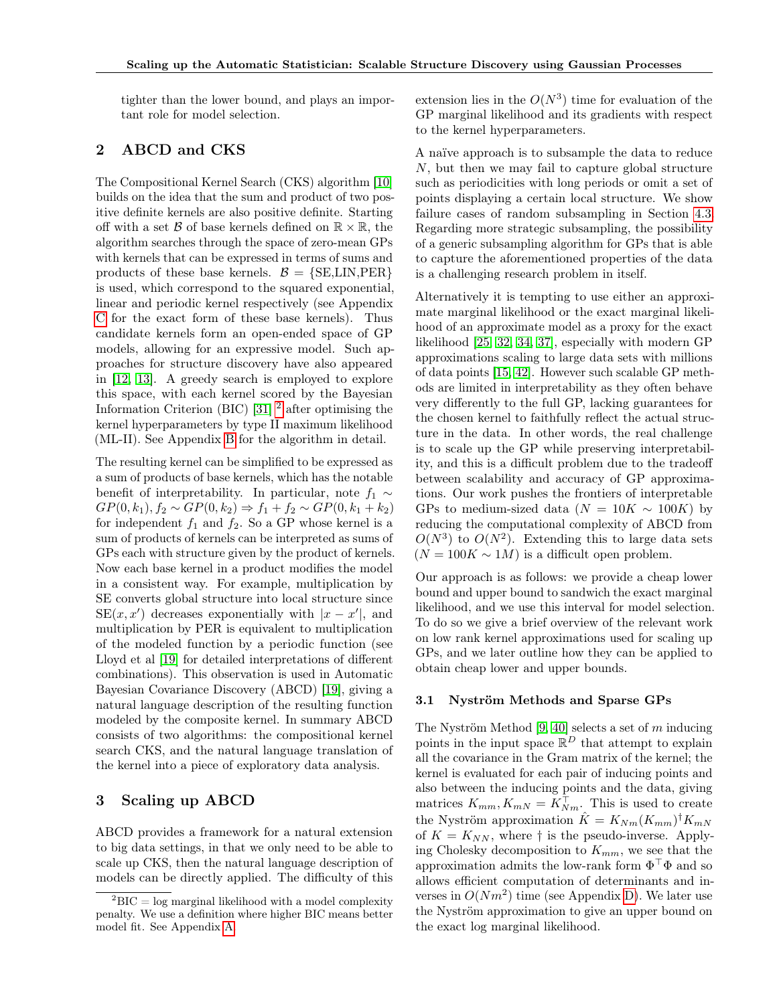tighter than the lower bound, and plays an important role for model selection.

## 2 ABCD and CKS

The Compositional Kernel Search (CKS) algorithm [\[10\]](#page-8-1) builds on the idea that the sum and product of two positive definite kernels are also positive definite. Starting off with a set  $\beta$  of base kernels defined on  $\mathbb{R} \times \mathbb{R}$ , the algorithm searches through the space of zero-mean GPs with kernels that can be expressed in terms of sums and products of these base kernels.  $\mathcal{B} = \{SE, LIN, PER\}$ is used, which correspond to the squared exponential, linear and periodic kernel respectively (see Appendix C for the exact form of these base kernels). Thus candidate kernels form an open-ended space of GP models, allowing for an expressive model. Such approaches for structure discovery have also appeared in [\[12,](#page-8-7) [13\]](#page-8-8). A greedy search is employed to explore this space, with each kernel scored by the Bayesian Information Criterion (BIC) [\[31\]](#page-8-9) [2](#page-1-0) after optimising the kernel hyperparameters by type II maximum likelihood (ML-II). See Appendix B for the algorithm in detail.

The resulting kernel can be simplified to be expressed as a sum of products of base kernels, which has the notable benefit of interpretability. In particular, note  $f_1 \sim$  $GP(0, k_1), f_2 \sim GP(0, k_2) \Rightarrow f_1 + f_2 \sim GP(0, k_1 + k_2)$ for independent  $f_1$  and  $f_2$ . So a GP whose kernel is a sum of products of kernels can be interpreted as sums of GPs each with structure given by the product of kernels. Now each base kernel in a product modifies the model in a consistent way. For example, multiplication by SE converts global structure into local structure since  $SE(x, x')$  decreases exponentially with  $|x - x'|$ , and multiplication by PER is equivalent to multiplication of the modeled function by a periodic function (see Lloyd et al [\[19\]](#page-8-6) for detailed interpretations of different combinations). This observation is used in Automatic Bayesian Covariance Discovery (ABCD) [\[19\]](#page-8-6), giving a natural language description of the resulting function modeled by the composite kernel. In summary ABCD consists of two algorithms: the compositional kernel search CKS, and the natural language translation of the kernel into a piece of exploratory data analysis.

### 3 Scaling up ABCD

ABCD provides a framework for a natural extension to big data settings, in that we only need to be able to scale up CKS, then the natural language description of models can be directly applied. The difficulty of this

extension lies in the  $O(N^3)$  time for evaluation of the GP marginal likelihood and its gradients with respect to the kernel hyperparameters.

A naïve approach is to subsample the data to reduce N, but then we may fail to capture global structure such as periodicities with long periods or omit a set of points displaying a certain local structure. We show failure cases of random subsampling in Section [4.3.](#page-5-0) Regarding more strategic subsampling, the possibility of a generic subsampling algorithm for GPs that is able to capture the aforementioned properties of the data is a challenging research problem in itself.

Alternatively it is tempting to use either an approximate marginal likelihood or the exact marginal likelihood of an approximate model as a proxy for the exact likelihood [\[25,](#page-8-10) [32,](#page-8-11) [34,](#page-9-3) [37\]](#page-9-2), especially with modern GP approximations scaling to large data sets with millions of data points [\[15,](#page-8-12) [42\]](#page-9-4). However such scalable GP methods are limited in interpretability as they often behave very differently to the full GP, lacking guarantees for the chosen kernel to faithfully reflect the actual structure in the data. In other words, the real challenge is to scale up the GP while preserving interpretability, and this is a difficult problem due to the tradeoff between scalability and accuracy of GP approximations. Our work pushes the frontiers of interpretable GPs to medium-sized data ( $N = 10K \sim 100K$ ) by reducing the computational complexity of ABCD from  $O(N^3)$  to  $O(N^2)$ . Extending this to large data sets  $(N = 100K \sim 1M)$  is a difficult open problem.

Our approach is as follows: we provide a cheap lower bound and upper bound to sandwich the exact marginal likelihood, and we use this interval for model selection. To do so we give a brief overview of the relevant work on low rank kernel approximations used for scaling up GPs, and we later outline how they can be applied to obtain cheap lower and upper bounds.

#### 3.1 Nyström Methods and Sparse GPs

The Nyström Method  $[9, 40]$  $[9, 40]$  $[9, 40]$  selects a set of m inducing points in the input space  $\mathbb{R}^D$  that attempt to explain all the covariance in the Gram matrix of the kernel; the kernel is evaluated for each pair of inducing points and also between the inducing points and the data, giving matrices  $K_{mm}$ ,  $K_{mN} = K_{Nm}^{\top}$ . This is used to create the Nyström approximation  $\hat{K} = K_{Nm}(K_{mm})^{\dagger}K_{mN}$ of  $K = K_{NN}$ , where  $\dagger$  is the pseudo-inverse. Applying Cholesky decomposition to  $K_{mm}$ , we see that the approximation admits the low-rank form  $\Phi^{\top}\Phi$  and so allows efficient computation of determinants and inverses in  $O(Nm^2)$  time (see Appendix D). We later use the Nyström approximation to give an upper bound on the exact log marginal likelihood.

<span id="page-1-0"></span> ${}^{2}$ BIC = log marginal likelihood with a model complexity penalty. We use a definition where higher BIC means better model fit. See Appendix A.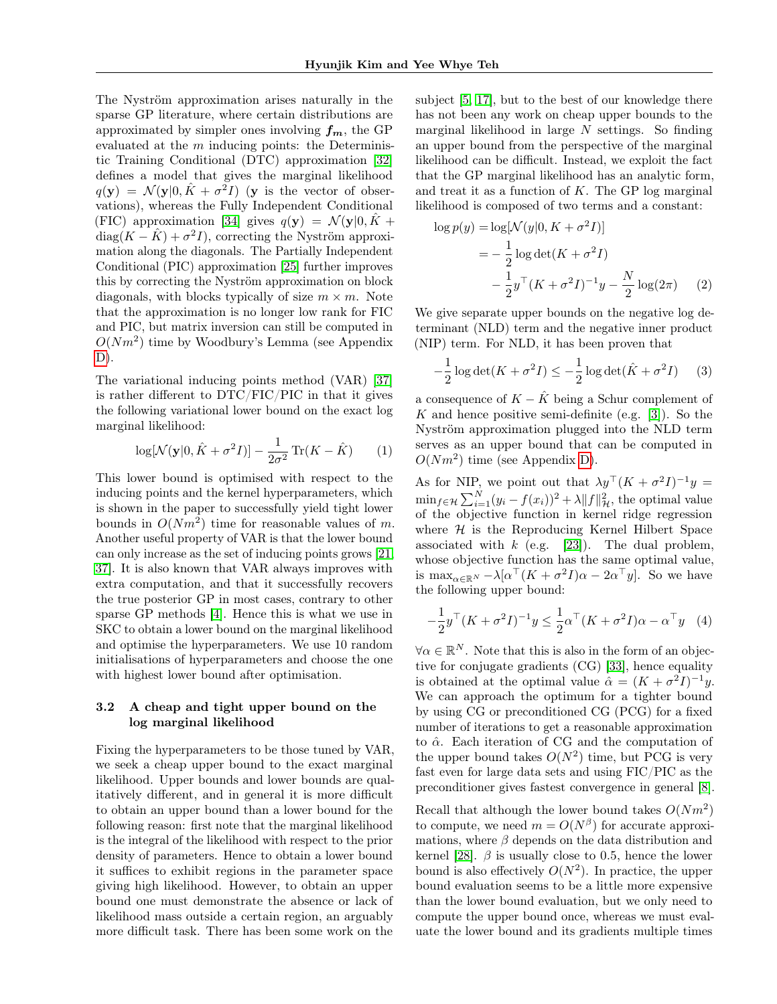The Nyström approximation arises naturally in the sparse GP literature, where certain distributions are approximated by simpler ones involving  $f_m$ , the GP evaluated at the  $m$  inducing points: the Deterministic Training Conditional (DTC) approximation [\[32\]](#page-8-11) defines a model that gives the marginal likelihood  $q(\mathbf{y}) = \mathcal{N}(\mathbf{y}|0, \hat{K} + \sigma^2 I)$  (y is the vector of observations), whereas the Fully Independent Conditional (FIC) approximation [\[34\]](#page-9-3) gives  $q(\mathbf{y}) = \mathcal{N}(\mathbf{y}|0, K +$ diag $(K - \hat{K}) + \sigma^2 I$ , correcting the Nyström approximation along the diagonals. The Partially Independent Conditional (PIC) approximation [\[25\]](#page-8-10) further improves this by correcting the Nyström approximation on block diagonals, with blocks typically of size  $m \times m$ . Note that the approximation is no longer low rank for FIC and PIC, but matrix inversion can still be computed in  $O(Nm^2)$  time by Woodbury's Lemma (see Appendix  $D$ ).

The variational inducing points method (VAR) [\[37\]](#page-9-2) is rather different to DTC/FIC/PIC in that it gives the following variational lower bound on the exact log marginal likelihood:

$$
\log[\mathcal{N}(\mathbf{y}|0, \hat{K} + \sigma^2 I)] - \frac{1}{2\sigma^2} \operatorname{Tr}(K - \hat{K}) \qquad (1)
$$

This lower bound is optimised with respect to the inducing points and the kernel hyperparameters, which is shown in the paper to successfully yield tight lower bounds in  $O(Nm^2)$  time for reasonable values of m. Another useful property of VAR is that the lower bound can only increase as the set of inducing points grows [\[21,](#page-8-14) [37\]](#page-9-2). It is also known that VAR always improves with extra computation, and that it successfully recovers the true posterior GP in most cases, contrary to other sparse GP methods [\[4\]](#page-8-15). Hence this is what we use in SKC to obtain a lower bound on the marginal likelihood and optimise the hyperparameters. We use 10 random initialisations of hyperparameters and choose the one with highest lower bound after optimisation.

#### 3.2 A cheap and tight upper bound on the log marginal likelihood

Fixing the hyperparameters to be those tuned by VAR, we seek a cheap upper bound to the exact marginal likelihood. Upper bounds and lower bounds are qualitatively different, and in general it is more difficult to obtain an upper bound than a lower bound for the following reason: first note that the marginal likelihood is the integral of the likelihood with respect to the prior density of parameters. Hence to obtain a lower bound it suffices to exhibit regions in the parameter space giving high likelihood. However, to obtain an upper bound one must demonstrate the absence or lack of likelihood mass outside a certain region, an arguably more difficult task. There has been some work on the subject [\[5,](#page-8-16) [17\]](#page-8-17), but to the best of our knowledge there has not been any work on cheap upper bounds to the marginal likelihood in large  $N$  settings. So finding an upper bound from the perspective of the marginal likelihood can be difficult. Instead, we exploit the fact that the GP marginal likelihood has an analytic form, and treat it as a function of  $K$ . The GP log marginal likelihood is composed of two terms and a constant:

$$
\log p(y) = \log[\mathcal{N}(y|0, K + \sigma^2 I)]
$$
  
=  $-\frac{1}{2} \log \det(K + \sigma^2 I)$   
 $-\frac{1}{2} y^\top (K + \sigma^2 I)^{-1} y - \frac{N}{2} \log(2\pi)$  (2)

We give separate upper bounds on the negative log determinant (NLD) term and the negative inner product (NIP) term. For NLD, it has been proven that

$$
-\frac{1}{2}\log\det(K+\sigma^2 I) \le -\frac{1}{2}\log\det(\hat{K}+\sigma^2 I) \tag{3}
$$

a consequence of  $K - \hat{K}$  being a Schur complement of K and hence positive semi-definite (e.g. [\[3\]](#page-8-18)). So the Nyström approximation plugged into the NLD term serves as an upper bound that can be computed in  $O(Nm^2)$  time (see Appendix D).

As for NIP, we point out that  $\lambda y^{\top} (K + \sigma^2 I)^{-1} y =$  $\min_{f \in \mathcal{H}} \sum_{i=1}^{N} (y_i - f(x_i))^2 + \lambda ||f||_{\mathcal{H}}^2$ , the optimal value of the objective function in kernel ridge regression where  $H$  is the Reproducing Kernel Hilbert Space associated with  $k$  (e.g. [\[23\]](#page-8-19)). The dual problem, whose objective function has the same optimal value, is  $\max_{\alpha \in \mathbb{R}^N} -\lambda [\alpha^{\top} (K + \sigma^2 I)\alpha - 2\alpha^{\top} y]$ . So we have the following upper bound:

$$
-\frac{1}{2}y^{\top}(K+\sigma^2I)^{-1}y \le \frac{1}{2}\alpha^{\top}(K+\sigma^2I)\alpha - \alpha^{\top}y \quad (4)
$$

 $\forall \alpha \in \mathbb{R}^N$ . Note that this is also in the form of an objective for conjugate gradients (CG) [\[33\]](#page-9-6), hence equality is obtained at the optimal value  $\hat{\alpha} = (K + \sigma^2 I)^{-1} y$ . We can approach the optimum for a tighter bound by using CG or preconditioned CG (PCG) for a fixed number of iterations to get a reasonable approximation to  $\hat{\alpha}$ . Each iteration of CG and the computation of the upper bound takes  $O(N^2)$  time, but PCG is very fast even for large data sets and using FIC/PIC as the preconditioner gives fastest convergence in general [\[8\]](#page-8-20).

Recall that although the lower bound takes  $O(Nm^2)$ to compute, we need  $m = O(N^{\beta})$  for accurate approximations, where  $\beta$  depends on the data distribution and kernel [\[28\]](#page-8-21).  $\beta$  is usually close to 0.5, hence the lower bound is also effectively  $O(N^2)$ . In practice, the upper bound evaluation seems to be a little more expensive than the lower bound evaluation, but we only need to compute the upper bound once, whereas we must evaluate the lower bound and its gradients multiple times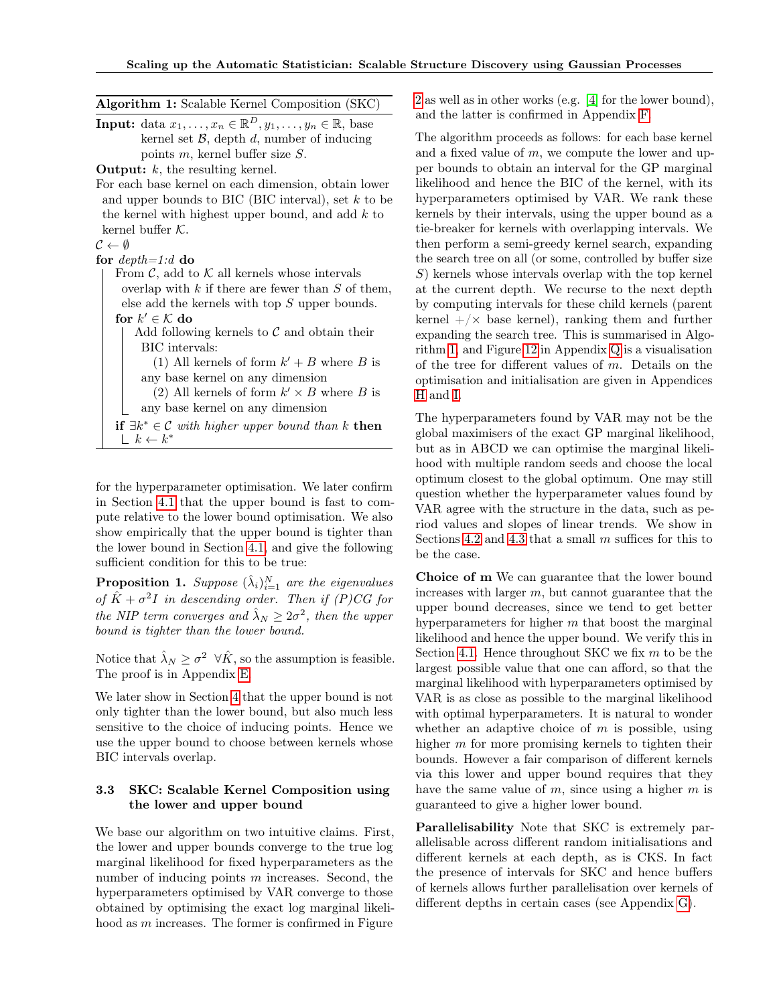<span id="page-3-0"></span>

| <b>Algorithm 1:</b> Scalable Kernel Composition (SKC)                                                          |  |  |  |  |
|----------------------------------------------------------------------------------------------------------------|--|--|--|--|
| <b>Input:</b> data $x_1, \ldots, x_n \in \mathbb{R}^D, y_1, \ldots, y_n \in \mathbb{R}$ , base                 |  |  |  |  |
| kernel set $\mathcal{B}$ , depth d, number of inducing                                                         |  |  |  |  |
| points $m$ , kernel buffer size $S$ .                                                                          |  |  |  |  |
| <b>Output:</b> $k$ , the resulting kernel.                                                                     |  |  |  |  |
| For each base kernel on each dimension, obtain lower                                                           |  |  |  |  |
| and upper bounds to BIC (BIC interval), set $k$ to be                                                          |  |  |  |  |
| the kernel with highest upper bound, and add $k$ to                                                            |  |  |  |  |
| kernel buffer $K$ .                                                                                            |  |  |  |  |
| $\mathcal{C} \leftarrow \emptyset$                                                                             |  |  |  |  |
| for $depth=1:d$ do                                                                                             |  |  |  |  |
| From $\mathcal{C}$ , add to $\mathcal{K}$ all kernels whose intervals                                          |  |  |  |  |
| overlap with $k$ if there are fewer than $S$ of them,                                                          |  |  |  |  |
| else add the kernels with top $S$ upper bounds.                                                                |  |  |  |  |
| for $k' \in \mathcal{K}$ do                                                                                    |  |  |  |  |
| Add following kernels to $\mathcal C$ and obtain their                                                         |  |  |  |  |
| BIC intervals:                                                                                                 |  |  |  |  |
| (1) All kernels of form $k' + B$ where B is                                                                    |  |  |  |  |
| any base kernel on any dimension                                                                               |  |  |  |  |
| (2) All kernels of form $k' \times B$ where B is                                                               |  |  |  |  |
| any base kernel on any dimension                                                                               |  |  |  |  |
| <b>if</b> $\exists k^* \in \mathcal{C}$ with higher upper bound than k <b>then</b><br>$\perp k \leftarrow k^*$ |  |  |  |  |

for the hyperparameter optimisation. We later confirm in Section [4.1](#page-4-0) that the upper bound is fast to compute relative to the lower bound optimisation. We also show empirically that the upper bound is tighter than the lower bound in Section [4.1,](#page-4-0) and give the following sufficient condition for this to be true:

**Proposition 1.** Suppose  $(\hat{\lambda}_i)_{i=1}^N$  are the eigenvalues of  $\hat{K} + \sigma^2 I$  in descending order. Then if (P)CG for the NIP term converges and  $\hat{\lambda}_N \geq 2\sigma^2$ , then the upper bound is tighter than the lower bound.

Notice that  $\hat{\lambda}_N \ge \sigma^2 \ \forall \hat{K}$ , so the assumption is feasible. The proof is in Appendix E.

We later show in Section [4](#page-4-1) that the upper bound is not only tighter than the lower bound, but also much less sensitive to the choice of inducing points. Hence we use the upper bound to choose between kernels whose BIC intervals overlap.

#### 3.3 SKC: Scalable Kernel Composition using the lower and upper bound

We base our algorithm on two intuitive claims. First, the lower and upper bounds converge to the true log marginal likelihood for fixed hyperparameters as the number of inducing points  $m$  increases. Second, the hyperparameters optimised by VAR converge to those obtained by optimising the exact log marginal likelihood as m increases. The former is confirmed in Figure

[2](#page-5-1) as well as in other works (e.g. [\[4\]](#page-8-15) for the lower bound), and the latter is confirmed in Appendix F.

The algorithm proceeds as follows: for each base kernel and a fixed value of  $m$ , we compute the lower and upper bounds to obtain an interval for the GP marginal likelihood and hence the BIC of the kernel, with its hyperparameters optimised by VAR. We rank these kernels by their intervals, using the upper bound as a tie-breaker for kernels with overlapping intervals. We then perform a semi-greedy kernel search, expanding the search tree on all (or some, controlled by buffer size S) kernels whose intervals overlap with the top kernel at the current depth. We recurse to the next depth by computing intervals for these child kernels (parent kernel  $+/\times$  base kernel), ranking them and further expanding the search tree. This is summarised in Algorithm [1,](#page-3-0) and Figure 12 in Appendix Q is a visualisation of the tree for different values of m. Details on the optimisation and initialisation are given in Appendices H and I.

The hyperparameters found by VAR may not be the global maximisers of the exact GP marginal likelihood, but as in ABCD we can optimise the marginal likelihood with multiple random seeds and choose the local optimum closest to the global optimum. One may still question whether the hyperparameter values found by VAR agree with the structure in the data, such as period values and slopes of linear trends. We show in Sections [4.2](#page-4-2) and [4.3](#page-5-0) that a small  $m$  suffices for this to be the case.

Choice of m We can guarantee that the lower bound increases with larger  $m$ , but cannot guarantee that the upper bound decreases, since we tend to get better hyperparameters for higher  $m$  that boost the marginal likelihood and hence the upper bound. We verify this in Section [4.1.](#page-4-0) Hence throughout SKC we fix  $m$  to be the largest possible value that one can afford, so that the marginal likelihood with hyperparameters optimised by VAR is as close as possible to the marginal likelihood with optimal hyperparameters. It is natural to wonder whether an adaptive choice of  $m$  is possible, using higher  $m$  for more promising kernels to tighten their bounds. However a fair comparison of different kernels via this lower and upper bound requires that they have the same value of  $m$ , since using a higher  $m$  is guaranteed to give a higher lower bound.

Parallelisability Note that SKC is extremely parallelisable across different random initialisations and different kernels at each depth, as is CKS. In fact the presence of intervals for SKC and hence buffers of kernels allows further parallelisation over kernels of different depths in certain cases (see Appendix G).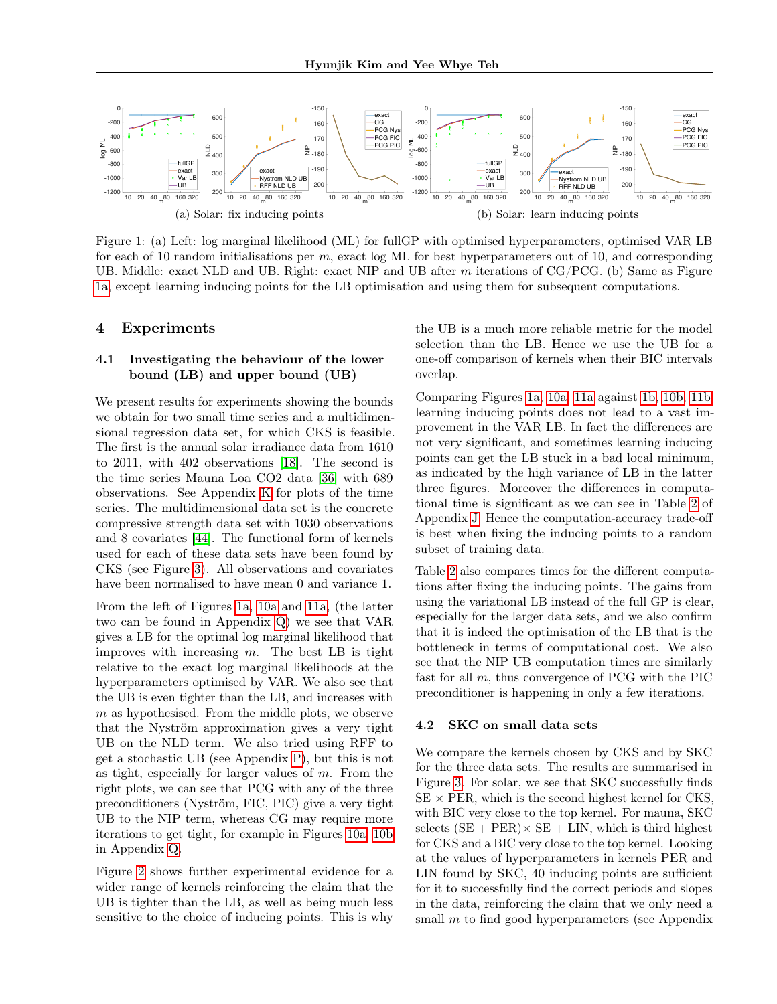<span id="page-4-3"></span>

Figure 1: (a) Left: log marginal likelihood (ML) for fullGP with optimised hyperparameters, optimised VAR LB for each of 10 random initialisations per  $m$ , exact log ML for best hyperparameters out of 10, and corresponding UB. Middle: exact NLD and UB. Right: exact NIP and UB after  $m$  iterations of CG/PCG. (b) Same as Figure [1a,](#page-4-3) except learning inducing points for the LB optimisation and using them for subsequent computations.

#### <span id="page-4-1"></span>4 Experiments

#### <span id="page-4-0"></span>4.1 Investigating the behaviour of the lower bound (LB) and upper bound (UB)

We present results for experiments showing the bounds we obtain for two small time series and a multidimensional regression data set, for which CKS is feasible. The first is the annual solar irradiance data from 1610 to 2011, with 402 observations [\[18\]](#page-8-22). The second is the time series Mauna Loa CO2 data [\[36\]](#page-9-7) with 689 observations. See Appendix K for plots of the time series. The multidimensional data set is the concrete compressive strength data set with 1030 observations and 8 covariates [\[44\]](#page-9-8). The functional form of kernels used for each of these data sets have been found by CKS (see Figure [3\)](#page-5-2). All observations and covariates have been normalised to have mean 0 and variance 1.

From the left of Figures [1a,](#page-4-3) 10a and 11a, (the latter two can be found in Appendix Q) we see that VAR gives a LB for the optimal log marginal likelihood that improves with increasing  $m$ . The best LB is tight relative to the exact log marginal likelihoods at the hyperparameters optimised by VAR. We also see that the UB is even tighter than the LB, and increases with  $m$  as hypothesised. From the middle plots, we observe that the Nyström approximation gives a very tight UB on the NLD term. We also tried using RFF to get a stochastic UB (see Appendix P), but this is not as tight, especially for larger values of  $m$ . From the right plots, we can see that PCG with any of the three preconditioners (Nyström, FIC, PIC) give a very tight UB to the NIP term, whereas CG may require more iterations to get tight, for example in Figures 10a, 10b in Appendix Q.

Figure [2](#page-5-1) shows further experimental evidence for a wider range of kernels reinforcing the claim that the UB is tighter than the LB, as well as being much less sensitive to the choice of inducing points. This is why

<span id="page-4-4"></span>the UB is a much more reliable metric for the model selection than the LB. Hence we use the UB for a one-off comparison of kernels when their BIC intervals overlap.

Comparing Figures [1a,](#page-4-3) 10a, 11a against [1b,](#page-4-4) 10b, 11b, learning inducing points does not lead to a vast improvement in the VAR LB. In fact the differences are not very significant, and sometimes learning inducing points can get the LB stuck in a bad local minimum, as indicated by the high variance of LB in the latter three figures. Moreover the differences in computational time is significant as we can see in Table 2 of Appendix J. Hence the computation-accuracy trade-off is best when fixing the inducing points to a random subset of training data.

Table 2 also compares times for the different computations after fixing the inducing points. The gains from using the variational LB instead of the full GP is clear, especially for the larger data sets, and we also confirm that it is indeed the optimisation of the LB that is the bottleneck in terms of computational cost. We also see that the NIP UB computation times are similarly fast for all m, thus convergence of PCG with the PIC preconditioner is happening in only a few iterations.

#### <span id="page-4-2"></span>4.2 SKC on small data sets

We compare the kernels chosen by CKS and by SKC for the three data sets. The results are summarised in Figure [3.](#page-5-2) For solar, we see that SKC successfully finds  $SE \times PER$ , which is the second highest kernel for CKS, with BIC very close to the top kernel. For mauna, SKC selects  $(SE + PER) \times SE + LIN$ , which is third highest for CKS and a BIC very close to the top kernel. Looking at the values of hyperparameters in kernels PER and LIN found by SKC, 40 inducing points are sufficient for it to successfully find the correct periods and slopes in the data, reinforcing the claim that we only need a small  $m$  to find good hyperparameters (see Appendix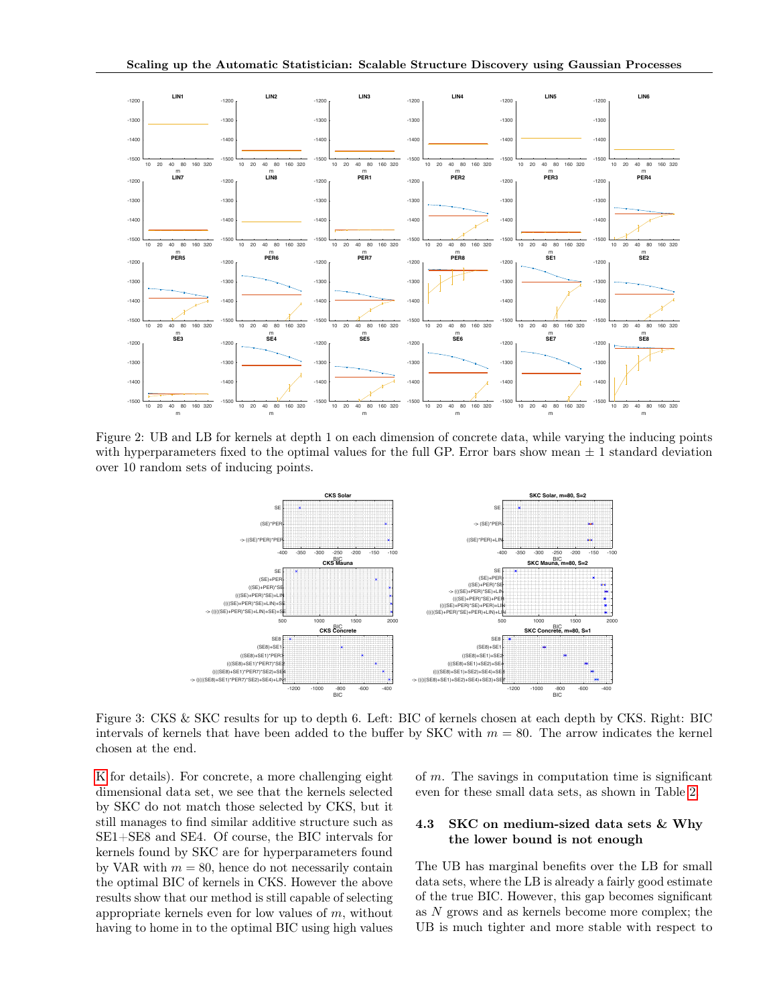<span id="page-5-1"></span>

<span id="page-5-2"></span>Figure 2: UB and LB for kernels at depth 1 on each dimension of concrete data, while varying the inducing points with hyperparameters fixed to the optimal values for the full GP. Error bars show mean  $\pm$  1 standard deviation over 10 random sets of inducing points.



Figure 3: CKS & SKC results for up to depth 6. Left: BIC of kernels chosen at each depth by CKS. Right: BIC intervals of kernels that have been added to the buffer by SKC with  $m = 80$ . The arrow indicates the kernel chosen at the end.

K for details). For concrete, a more challenging eight dimensional data set, we see that the kernels selected by SKC do not match those selected by CKS, but it still manages to find similar additive structure such as SE1+SE8 and SE4. Of course, the BIC intervals for kernels found by SKC are for hyperparameters found by VAR with  $m = 80$ , hence do not necessarily contain the optimal BIC of kernels in CKS. However the above results show that our method is still capable of selecting appropriate kernels even for low values of  $m$ , without having to home in to the optimal BIC using high values of  $m$ . The savings in computation time is significant even for these small data sets, as shown in Table 2.

#### <span id="page-5-0"></span>4.3 SKC on medium-sized data sets & Why the lower bound is not enough

The UB has marginal benefits over the LB for small data sets, where the LB is already a fairly good estimate of the true BIC. However, this gap becomes significant as N grows and as kernels become more complex; the UB is much tighter and more stable with respect to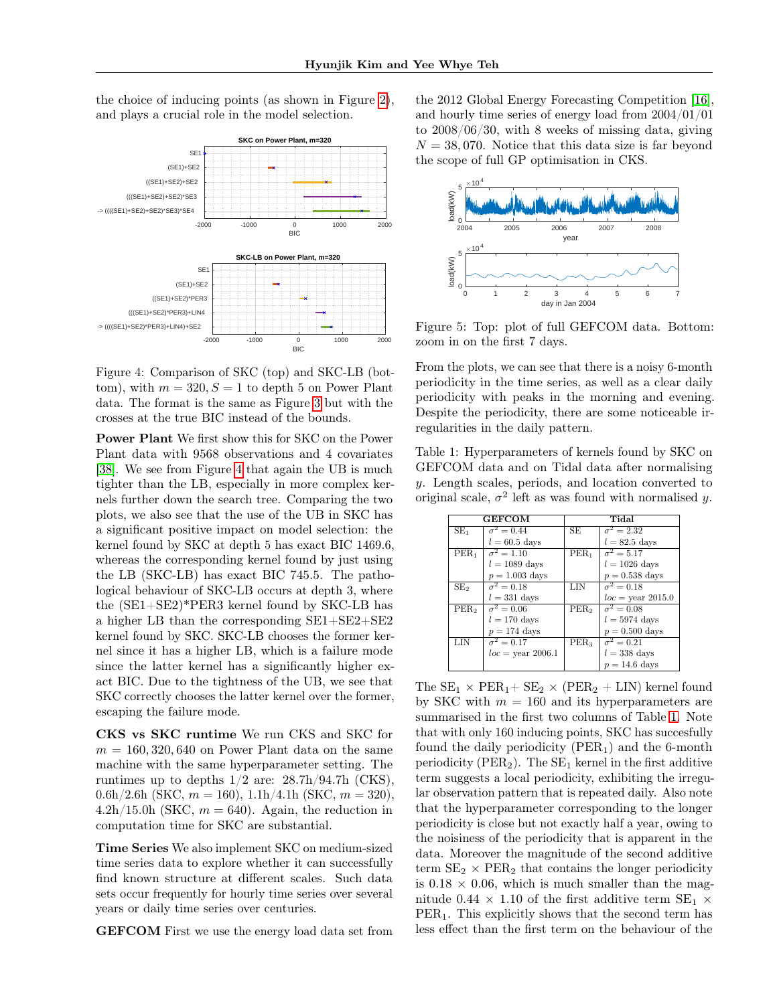the choice of inducing points (as shown in Figure [2\)](#page-5-1), and plays a crucial role in the model selection.

<span id="page-6-0"></span>

Figure 4: Comparison of SKC (top) and SKC-LB (bottom), with  $m = 320, S = 1$  to depth 5 on Power Plant data. The format is the same as Figure [3](#page-5-2) but with the crosses at the true BIC instead of the bounds.

Power Plant We first show this for SKC on the Power Plant data with 9568 observations and 4 covariates [\[38\]](#page-9-9). We see from Figure [4](#page-6-0) that again the UB is much tighter than the LB, especially in more complex kernels further down the search tree. Comparing the two plots, we also see that the use of the UB in SKC has a significant positive impact on model selection: the kernel found by SKC at depth 5 has exact BIC 1469.6, whereas the corresponding kernel found by just using the LB (SKC-LB) has exact BIC 745.5. The pathological behaviour of SKC-LB occurs at depth 3, where the (SE1+SE2)\*PER3 kernel found by SKC-LB has a higher LB than the corresponding SE1+SE2+SE2 kernel found by SKC. SKC-LB chooses the former kernel since it has a higher LB, which is a failure mode since the latter kernel has a significantly higher exact BIC. Due to the tightness of the UB, we see that SKC correctly chooses the latter kernel over the former, escaping the failure mode.

CKS vs SKC runtime We run CKS and SKC for  $m = 160, 320, 640$  on Power Plant data on the same machine with the same hyperparameter setting. The runtimes up to depths  $1/2$  are:  $28.7h/94.7h$  (CKS), 0.6h/2.6h (SKC,  $m = 160$ ), 1.1h/4.1h (SKC,  $m = 320$ ), 4.2h/15.0h (SKC,  $m = 640$ ). Again, the reduction in computation time for SKC are substantial.

Time Series We also implement SKC on medium-sized time series data to explore whether it can successfully find known structure at different scales. Such data sets occur frequently for hourly time series over several years or daily time series over centuries.

GEFCOM First we use the energy load data set from

the 2012 Global Energy Forecasting Competition [\[16\]](#page-8-23), and hourly time series of energy load from 2004/01/01 to 2008/06/30, with 8 weeks of missing data, giving  $N = 38,070$ . Notice that this data size is far beyond the scope of full GP optimisation in CKS.



Figure 5: Top: plot of full GEFCOM data. Bottom: zoom in on the first 7 days.

From the plots, we can see that there is a noisy 6-month periodicity in the time series, as well as a clear daily periodicity with peaks in the morning and evening. Despite the periodicity, there are some noticeable irregularities in the daily pattern.

<span id="page-6-1"></span>Table 1: Hyperparameters of kernels found by SKC on GEFCOM data and on Tidal data after normalising y. Length scales, periods, and location converted to original scale,  $\sigma^2$  left as was found with normalised y.

| <b>GEFCOM</b>    |                              | Tidal                     |                              |
|------------------|------------------------------|---------------------------|------------------------------|
| SE <sub>1</sub>  | $\overline{\sigma^2} = 0.44$ | SE                        | $\sigma^2 = 2.32$            |
|                  | $l = 60.5$ days              |                           | $l = 82.5$ days              |
| PER <sub>1</sub> | $\sigma^2 = 1.10$            | $\overline{\text{PER}}_1$ | $\overline{\sigma^2 = 5.17}$ |
|                  | $l = 1089$ days              |                           | $l = 1026$ days              |
|                  | $p = 1.003$ days             |                           | $p = 0.538$ days             |
| SE <sub>2</sub>  | $\overline{\sigma^2} = 0.18$ | LIN                       | $\sigma^2=0.18$              |
|                  | $l = 331$ days               |                           | $loc = \text{year } 2015.0$  |
| PER <sub>2</sub> | $\overline{\sigma^2} = 0.06$ | PER <sub>2</sub>          | $\overline{\sigma^2} = 0.08$ |
|                  | $l = 170$ days               |                           | $l = 5974$ days              |
|                  | $p = 174$ days               |                           | $p = 0.500$ days             |
| LIN              | $\sigma^2=0.17$              | PER <sub>3</sub>          | $\sigma^2 = 0.21$            |
|                  | $loc =$ vear 2006.1          |                           | $l = 338$ days               |
|                  |                              |                           | $p = 14.6$ days              |

The  $\text{SE}_1$   $\times$   $\text{PER}_1+\text{SE}_2$   $\times$   $(\text{PER}_2$   $+$   $\text{LIN})$  kernel found by SKC with  $m = 160$  and its hyperparameters are summarised in the first two columns of Table [1.](#page-6-1) Note that with only 160 inducing points, SKC has succesfully found the daily periodicity  $(PER<sub>1</sub>)$  and the 6-month periodicity (PER<sub>2</sub>). The  $SE_1$  kernel in the first additive term suggests a local periodicity, exhibiting the irregular observation pattern that is repeated daily. Also note that the hyperparameter corresponding to the longer periodicity is close but not exactly half a year, owing to the noisiness of the periodicity that is apparent in the data. Moreover the magnitude of the second additive term  $SE_2 \times PER_2$  that contains the longer periodicity is  $0.18 \times 0.06$ , which is much smaller than the magnitude 0.44  $\times$  1.10 of the first additive term SE<sub>1</sub>  $\times$  $PER<sub>1</sub>$ . This explicitly shows that the second term has less effect than the first term on the behaviour of the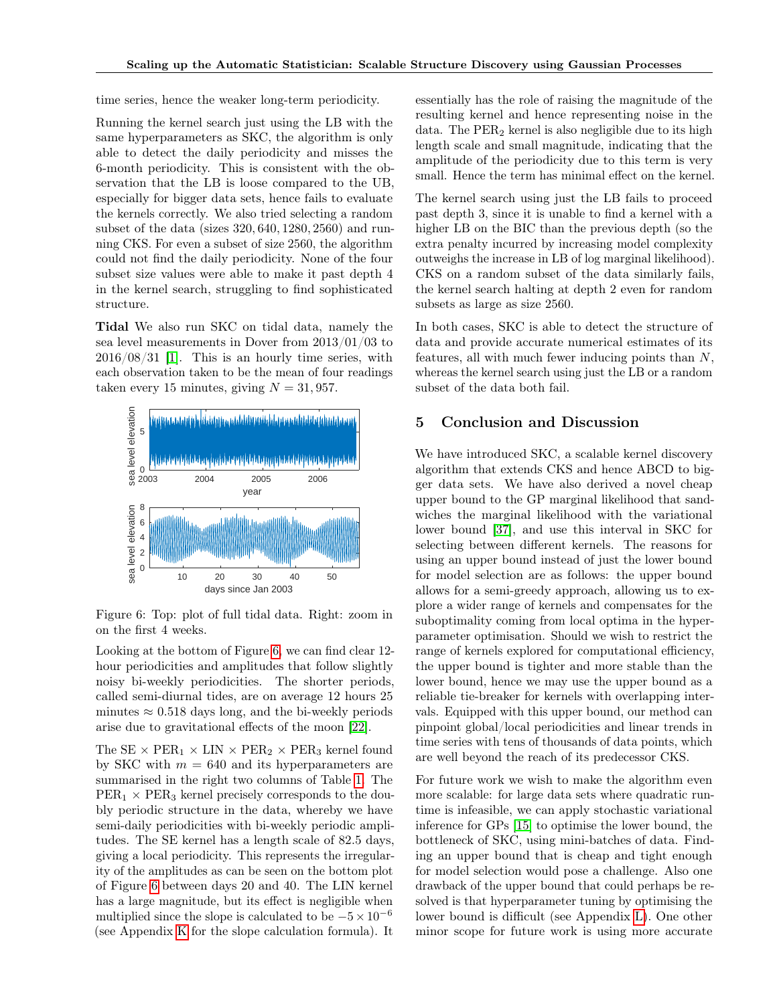time series, hence the weaker long-term periodicity.

Running the kernel search just using the LB with the same hyperparameters as SKC, the algorithm is only able to detect the daily periodicity and misses the 6-month periodicity. This is consistent with the observation that the LB is loose compared to the UB, especially for bigger data sets, hence fails to evaluate the kernels correctly. We also tried selecting a random subset of the data (sizes 320, 640, 1280, 2560) and running CKS. For even a subset of size 2560, the algorithm could not find the daily periodicity. None of the four subset size values were able to make it past depth 4 in the kernel search, struggling to find sophisticated structure.

Tidal We also run SKC on tidal data, namely the sea level measurements in Dover from 2013/01/03 to  $2016/08/31$  [\[1\]](#page-8-24). This is an hourly time series, with each observation taken to be the mean of four readings taken every 15 minutes, giving  $N = 31,957$ .

<span id="page-7-0"></span>

Figure 6: Top: plot of full tidal data. Right: zoom in on the first 4 weeks.

Looking at the bottom of Figure [6,](#page-7-0) we can find clear 12 hour periodicities and amplitudes that follow slightly noisy bi-weekly periodicities. The shorter periods, called semi-diurnal tides, are on average 12 hours 25 minutes  $\approx 0.518$  days long, and the bi-weekly periods arise due to gravitational effects of the moon [\[22\]](#page-8-25).

The  $SE \times PER_1 \times LIN \times PER_2 \times PER_3$  kernel found by SKC with  $m = 640$  and its hyperparameters are summarised in the right two columns of Table [1.](#page-6-1) The  $PER<sub>1</sub> \times PER<sub>3</sub>$  kernel precisely corresponds to the doubly periodic structure in the data, whereby we have semi-daily periodicities with bi-weekly periodic amplitudes. The SE kernel has a length scale of 82.5 days, giving a local periodicity. This represents the irregularity of the amplitudes as can be seen on the bottom plot of Figure [6](#page-7-0) between days 20 and 40. The LIN kernel has a large magnitude, but its effect is negligible when multiplied since the slope is calculated to be  $-5 \times 10^{-6}$ (see Appendix K for the slope calculation formula). It

essentially has the role of raising the magnitude of the resulting kernel and hence representing noise in the data. The  $PER<sub>2</sub>$  kernel is also negligible due to its high length scale and small magnitude, indicating that the amplitude of the periodicity due to this term is very small. Hence the term has minimal effect on the kernel.

The kernel search using just the LB fails to proceed past depth 3, since it is unable to find a kernel with a higher LB on the BIC than the previous depth (so the extra penalty incurred by increasing model complexity outweighs the increase in LB of log marginal likelihood). CKS on a random subset of the data similarly fails, the kernel search halting at depth 2 even for random subsets as large as size 2560.

In both cases, SKC is able to detect the structure of data and provide accurate numerical estimates of its features, all with much fewer inducing points than  $N$ , whereas the kernel search using just the LB or a random subset of the data both fail.

#### 5 Conclusion and Discussion

We have introduced SKC, a scalable kernel discovery algorithm that extends CKS and hence ABCD to bigger data sets. We have also derived a novel cheap upper bound to the GP marginal likelihood that sandwiches the marginal likelihood with the variational lower bound [\[37\]](#page-9-2), and use this interval in SKC for selecting between different kernels. The reasons for using an upper bound instead of just the lower bound for model selection are as follows: the upper bound allows for a semi-greedy approach, allowing us to explore a wider range of kernels and compensates for the suboptimality coming from local optima in the hyperparameter optimisation. Should we wish to restrict the range of kernels explored for computational efficiency, the upper bound is tighter and more stable than the lower bound, hence we may use the upper bound as a reliable tie-breaker for kernels with overlapping intervals. Equipped with this upper bound, our method can pinpoint global/local periodicities and linear trends in time series with tens of thousands of data points, which are well beyond the reach of its predecessor CKS.

For future work we wish to make the algorithm even more scalable: for large data sets where quadratic runtime is infeasible, we can apply stochastic variational inference for GPs [\[15\]](#page-8-12) to optimise the lower bound, the bottleneck of SKC, using mini-batches of data. Finding an upper bound that is cheap and tight enough for model selection would pose a challenge. Also one drawback of the upper bound that could perhaps be resolved is that hyperparameter tuning by optimising the lower bound is difficult (see Appendix L). One other minor scope for future work is using more accurate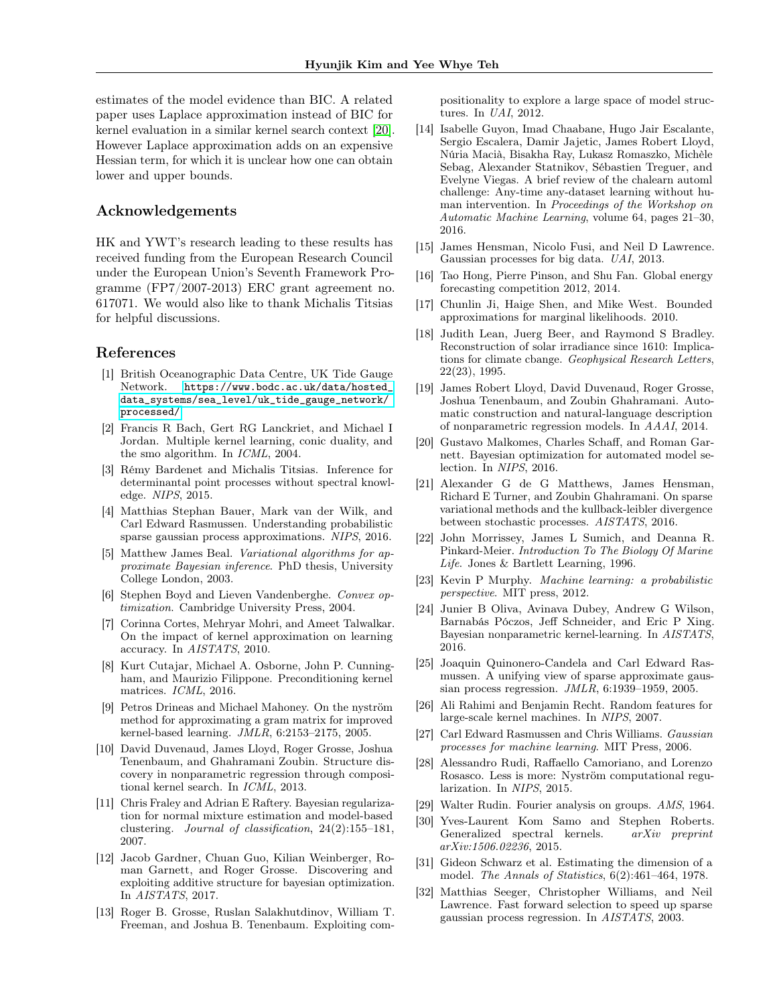estimates of the model evidence than BIC. A related paper uses Laplace approximation instead of BIC for kernel evaluation in a similar kernel search context [\[20\]](#page-8-26). However Laplace approximation adds on an expensive Hessian term, for which it is unclear how one can obtain lower and upper bounds.

#### Acknowledgements

HK and YWT's research leading to these results has received funding from the European Research Council under the European Union's Seventh Framework Programme (FP7/2007-2013) ERC grant agreement no. 617071. We would also like to thank Michalis Titsias for helpful discussions.

#### References

- <span id="page-8-24"></span>[1] British Oceanographic Data Centre, UK Tide Gauge Network. [https://www.bodc.ac.uk/data/hosted\\_](https://www.bodc.ac.uk/data/hosted_data_systems/sea_level/uk_tide_gauge_network/processed/) [data\\_systems/sea\\_level/uk\\_tide\\_gauge\\_network/](https://www.bodc.ac.uk/data/hosted_data_systems/sea_level/uk_tide_gauge_network/processed/) [processed/](https://www.bodc.ac.uk/data/hosted_data_systems/sea_level/uk_tide_gauge_network/processed/).
- <span id="page-8-3"></span>[2] Francis R Bach, Gert RG Lanckriet, and Michael I Jordan. Multiple kernel learning, conic duality, and the smo algorithm. In ICML, 2004.
- <span id="page-8-18"></span>[3] Rémy Bardenet and Michalis Titsias. Inference for determinantal point processes without spectral knowledge. NIPS, 2015.
- <span id="page-8-15"></span>[4] Matthias Stephan Bauer, Mark van der Wilk, and Carl Edward Rasmussen. Understanding probabilistic sparse gaussian process approximations. NIPS, 2016.
- <span id="page-8-16"></span>[5] Matthew James Beal. Variational algorithms for approximate Bayesian inference. PhD thesis, University College London, 2003.
- [6] Stephen Boyd and Lieven Vandenberghe. Convex optimization. Cambridge University Press, 2004.
- [7] Corinna Cortes, Mehryar Mohri, and Ameet Talwalkar. On the impact of kernel approximation on learning accuracy. In AISTATS, 2010.
- <span id="page-8-20"></span>[8] Kurt Cutajar, Michael A. Osborne, John P. Cunningham, and Maurizio Filippone. Preconditioning kernel matrices. ICML, 2016.
- <span id="page-8-13"></span>[9] Petros Drineas and Michael Mahoney. On the nyström method for approximating a gram matrix for improved kernel-based learning. JMLR, 6:2153–2175, 2005.
- <span id="page-8-1"></span>[10] David Duvenaud, James Lloyd, Roger Grosse, Joshua Tenenbaum, and Ghahramani Zoubin. Structure discovery in nonparametric regression through compositional kernel search. In ICML, 2013.
- [11] Chris Fraley and Adrian E Raftery. Bayesian regularization for normal mixture estimation and model-based clustering. Journal of classification, 24(2):155–181, 2007.
- <span id="page-8-7"></span>[12] Jacob Gardner, Chuan Guo, Kilian Weinberger, Roman Garnett, and Roger Grosse. Discovering and exploiting additive structure for bayesian optimization. In AISTATS, 2017.
- <span id="page-8-8"></span>[13] Roger B. Grosse, Ruslan Salakhutdinov, William T. Freeman, and Joshua B. Tenenbaum. Exploiting com-

positionality to explore a large space of model structures. In UAI, 2012.

- <span id="page-8-0"></span>[14] Isabelle Guyon, Imad Chaabane, Hugo Jair Escalante, Sergio Escalera, Damir Jajetic, James Robert Lloyd, Núria Macià, Bisakha Ray, Lukasz Romaszko, Michèle Sebag, Alexander Statnikov, Sébastien Treguer, and Evelyne Viegas. A brief review of the chalearn automl challenge: Any-time any-dataset learning without human intervention. In Proceedings of the Workshop on Automatic Machine Learning, volume 64, pages 21–30, 2016.
- <span id="page-8-12"></span>[15] James Hensman, Nicolo Fusi, and Neil D Lawrence. Gaussian processes for big data. UAI, 2013.
- <span id="page-8-23"></span>[16] Tao Hong, Pierre Pinson, and Shu Fan. Global energy forecasting competition 2012, 2014.
- <span id="page-8-17"></span>[17] Chunlin Ji, Haige Shen, and Mike West. Bounded approximations for marginal likelihoods. 2010.
- <span id="page-8-22"></span>[18] Judith Lean, Juerg Beer, and Raymond S Bradley. Reconstruction of solar irradiance since 1610: Implications for climate cbange. Geophysical Research Letters, 22(23), 1995.
- <span id="page-8-6"></span>[19] James Robert Lloyd, David Duvenaud, Roger Grosse, Joshua Tenenbaum, and Zoubin Ghahramani. Automatic construction and natural-language description of nonparametric regression models. In AAAI, 2014.
- <span id="page-8-26"></span>[20] Gustavo Malkomes, Charles Schaff, and Roman Garnett. Bayesian optimization for automated model selection. In NIPS, 2016.
- <span id="page-8-14"></span>[21] Alexander G de G Matthews, James Hensman, Richard E Turner, and Zoubin Ghahramani. On sparse variational methods and the kullback-leibler divergence between stochastic processes. AISTATS, 2016.
- <span id="page-8-25"></span>[22] John Morrissey, James L Sumich, and Deanna R. Pinkard-Meier. Introduction To The Biology Of Marine Life. Jones & Bartlett Learning, 1996.
- <span id="page-8-19"></span>[23] Kevin P Murphy. Machine learning: a probabilistic perspective. MIT press, 2012.
- <span id="page-8-4"></span>[24] Junier B Oliva, Avinava Dubey, Andrew G Wilson, Barnabás Póczos, Jeff Schneider, and Eric P Xing. Bayesian nonparametric kernel-learning. In AISTATS, 2016.
- <span id="page-8-10"></span>[25] Joaquin Quinonero-Candela and Carl Edward Rasmussen. A unifying view of sparse approximate gaussian process regression. JMLR, 6:1939–1959, 2005.
- [26] Ali Rahimi and Benjamin Recht. Random features for large-scale kernel machines. In NIPS, 2007.
- <span id="page-8-2"></span>[27] Carl Edward Rasmussen and Chris Williams. Gaussian processes for machine learning. MIT Press, 2006.
- <span id="page-8-21"></span>[28] Alessandro Rudi, Raffaello Camoriano, and Lorenzo Rosasco. Less is more: Nyström computational regularization. In NIPS, 2015.
- [29] Walter Rudin. Fourier analysis on groups. AMS, 1964.
- <span id="page-8-5"></span>[30] Yves-Laurent Kom Samo and Stephen Roberts.<br>Generalized spectral kernels.  $arXiv$  preprint Generalized spectral kernels. arXiv:1506.02236, 2015.
- <span id="page-8-9"></span>[31] Gideon Schwarz et al. Estimating the dimension of a model. The Annals of Statistics, 6(2):461–464, 1978.
- <span id="page-8-11"></span>[32] Matthias Seeger, Christopher Williams, and Neil Lawrence. Fast forward selection to speed up sparse gaussian process regression. In AISTATS, 2003.